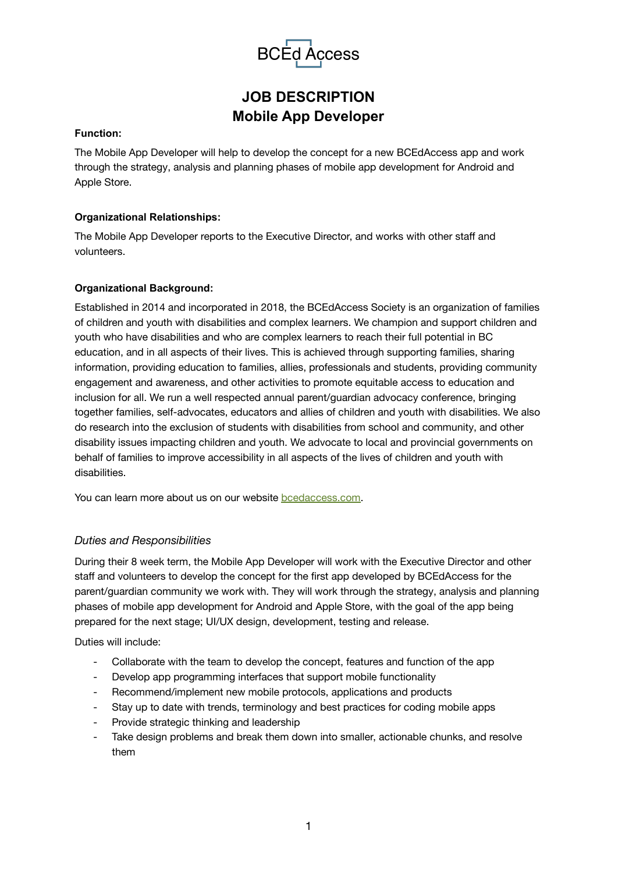

# **JOB DESCRIPTION Mobile App Developer**

#### **Function:**

The Mobile App Developer will help to develop the concept for a new BCEdAccess app and work through the strategy, analysis and planning phases of mobile app development for Android and Apple Store.

### **Organizational Relationships:**

The Mobile App Developer reports to the Executive Director, and works with other staff and volunteers.

#### **Organizational Background:**

Established in 2014 and incorporated in 2018, the BCEdAccess Society is an organization of families of children and youth with disabilities and complex learners. We champion and support children and youth who have disabilities and who are complex learners to reach their full potential in BC education, and in all aspects of their lives. This is achieved through supporting families, sharing information, providing education to families, allies, professionals and students, providing community engagement and awareness, and other activities to promote equitable access to education and inclusion for all. We run a well respected annual parent/guardian advocacy conference, bringing together families, self-advocates, educators and allies of children and youth with disabilities. We also do research into the exclusion of students with disabilities from school and community, and other disability issues impacting children and youth. We advocate to local and provincial governments on behalf of families to improve accessibility in all aspects of the lives of children and youth with disabilities.

You can learn more about us on our website [bcedaccess.com.](https://bcedaccess.com)

### *Duties and Responsibilities*

During their 8 week term, the Mobile App Developer will work with the Executive Director and other staff and volunteers to develop the concept for the first app developed by BCEdAccess for the parent/guardian community we work with. They will work through the strategy, analysis and planning phases of mobile app development for Android and Apple Store, with the goal of the app being prepared for the next stage; UI/UX design, development, testing and release.

Duties will include:

- Collaborate with the team to develop the concept, features and function of the app
- Develop app programming interfaces that support mobile functionality
- Recommend/implement new mobile protocols, applications and products
- Stay up to date with trends, terminology and best practices for coding mobile apps
- Provide strategic thinking and leadership
- Take design problems and break them down into smaller, actionable chunks, and resolve them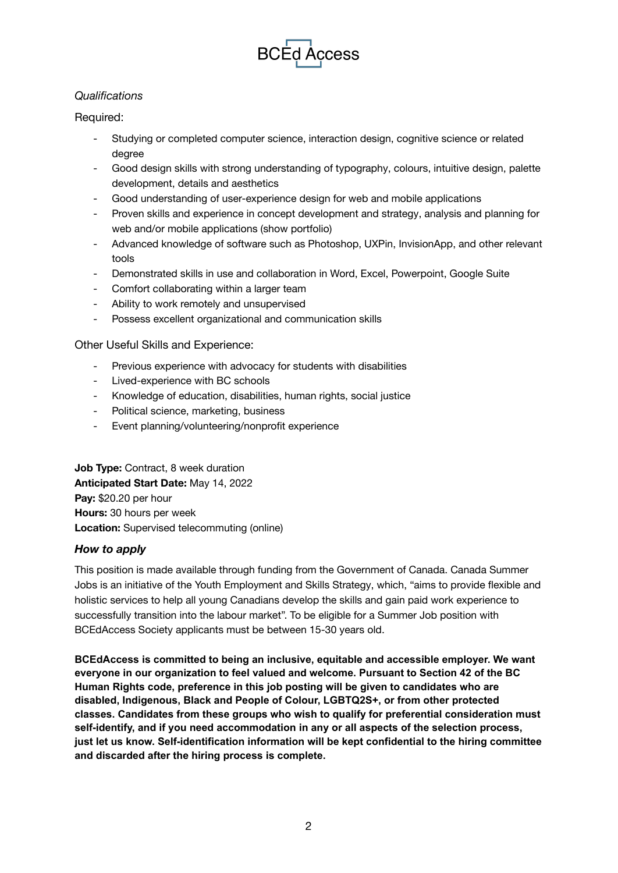

## *Qualifications*

## Required:

- Studying or completed computer science, interaction design, cognitive science or related degree
- Good design skills with strong understanding of typography, colours, intuitive design, palette development, details and aesthetics
- Good understanding of user-experience design for web and mobile applications
- Proven skills and experience in concept development and strategy, analysis and planning for web and/or mobile applications (show portfolio)
- Advanced knowledge of software such as Photoshop, UXPin, InvisionApp, and other relevant tools
- Demonstrated skills in use and collaboration in Word, Excel, Powerpoint, Google Suite
- Comfort collaborating within a larger team
- Ability to work remotely and unsupervised
- Possess excellent organizational and communication skills

Other Useful Skills and Experience:

- Previous experience with advocacy for students with disabilities
- Lived-experience with BC schools
- Knowledge of education, disabilities, human rights, social justice
- Political science, marketing, business
- Event planning/volunteering/nonprofit experience

**Job Type:** Contract, 8 week duration **Anticipated Start Date:** May 14, 2022 **Pay:** \$20.20 per hour **Hours:** 30 hours per week **Location:** Supervised telecommuting (online)

### *How to apply*

This position is made available through funding from the Government of Canada. Canada Summer Jobs is an initiative of the Youth Employment and Skills Strategy, which, "aims to provide flexible and holistic services to help all young Canadians develop the skills and gain paid work experience to successfully transition into the labour market". To be eligible for a Summer Job position with BCEdAccess Society applicants must be between 15-30 years old.

**BCEdAccess is committed to being an inclusive, equitable and accessible employer. We want everyone in our organization to feel valued and welcome. Pursuant to Section 42 of the BC Human Rights code, preference in this job posting will be given to candidates who are disabled, Indigenous, Black and People of Colour, LGBTQ2S+, or from other protected classes. Candidates from these groups who wish to qualify for preferential consideration must self-identify, and if you need accommodation in any or all aspects of the selection process, just let us know. Self-identification information will be kept confidential to the hiring committee and discarded after the hiring process is complete.**